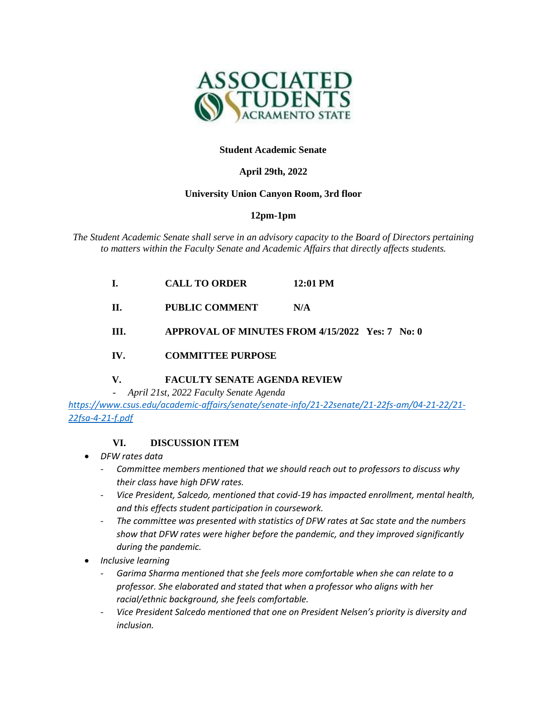

### **Student Academic Senate**

### **April 29th, 2022**

#### **University Union Canyon Room, 3rd floor**

### **12pm-1pm**

*The Student Academic Senate shall serve in an advisory capacity to the Board of Directors pertaining to matters within the Faculty Senate and Academic Affairs that directly affects students.*

| L.   | <b>CALL TO ORDER</b>                            | 12:01 PM |  |
|------|-------------------------------------------------|----------|--|
| H.   | PUBLIC COMMENT                                  | N/A      |  |
| III. | APPROVAL OF MINUTES FROM 4/15/2022 Yes: 7 No: 0 |          |  |

### **IV. COMMITTEE PURPOSE**

# **V. FACULTY SENATE AGENDA REVIEW**

*- April 21st, 2022 Faculty Senate Agenda*

*[https://www.csus.edu/academic-affairs/senate/senate-info/21-22senate/21-22fs-am/04-21-22/21-](https://www.csus.edu/academic-affairs/senate/senate-info/21-22senate/21-22fs-am/04-21-22/21-22fsa-4-21-f.pdf) [22fsa-4-21-f.pdf](https://www.csus.edu/academic-affairs/senate/senate-info/21-22senate/21-22fs-am/04-21-22/21-22fsa-4-21-f.pdf)*

# **VI. DISCUSSION ITEM**

- *DFW rates data*
	- *Committee members mentioned that we should reach out to professors to discuss why their class have high DFW rates.*
	- *Vice President, Salcedo, mentioned that covid-19 has impacted enrollment, mental health, and this effects student participation in coursework.*
	- *The committee was presented with statistics of DFW rates at Sac state and the numbers show that DFW rates were higher before the pandemic, and they improved significantly during the pandemic.*
- *Inclusive learning* 
	- *Garima Sharma mentioned that she feels more comfortable when she can relate to a professor. She elaborated and stated that when a professor who aligns with her racial/ethnic background, she feels comfortable.*
	- *Vice President Salcedo mentioned that one on President Nelsen's priority is diversity and inclusion.*